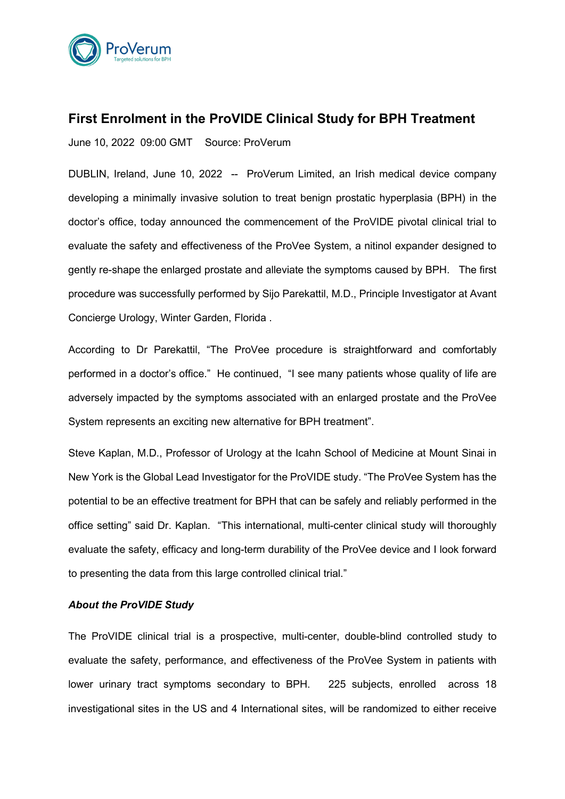

## **First Enrolment in the ProVIDE Clinical Study for BPH Treatment**

June 10, 2022 09:00 GMT Source: ProVerum

DUBLIN, Ireland, June 10, 2022 -- ProVerum Limited, an Irish medical device company developing a minimally invasive solution to treat benign prostatic hyperplasia (BPH) in the doctor's office, today announced the commencement of the ProVIDE pivotal clinical trial to evaluate the safety and effectiveness of the ProVee System, a nitinol expander designed to gently re-shape the enlarged prostate and alleviate the symptoms caused by BPH. The first procedure was successfully performed by Sijo Parekattil, M.D., Principle Investigator at Avant Concierge Urology, Winter Garden, Florida .

According to Dr Parekattil, "The ProVee procedure is straightforward and comfortably performed in a doctor's office." He continued, "I see many patients whose quality of life are adversely impacted by the symptoms associated with an enlarged prostate and the ProVee System represents an exciting new alternative for BPH treatment".

Steve Kaplan, M.D., Professor of Urology at the Icahn School of Medicine at Mount Sinai in New York is the Global Lead Investigator for the ProVIDE study. "The ProVee System has the potential to be an effective treatment for BPH that can be safely and reliably performed in the office setting" said Dr. Kaplan. "This international, multi-center clinical study will thoroughly evaluate the safety, efficacy and long-term durability of the ProVee device and I look forward to presenting the data from this large controlled clinical trial."

## *About the ProVIDE Study*

The ProVIDE clinical trial is a prospective, multi-center, double-blind controlled study to evaluate the safety, performance, and effectiveness of the ProVee System in patients with lower urinary tract symptoms secondary to BPH. 225 subjects, enrolled across 18 investigational sites in the US and 4 International sites, will be randomized to either receive